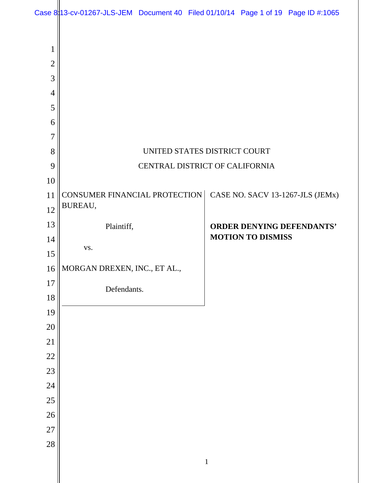| Case 8 13-cv-01267-JLS-JEM Document 40 Filed 01/10/14 Page 1 of 19 Page ID #:1065 |  |  |  |
|-----------------------------------------------------------------------------------|--|--|--|
|                                                                                   |  |  |  |

| $\mathbf{1}$    |                               |                                  |  |  |  |
|-----------------|-------------------------------|----------------------------------|--|--|--|
| $\overline{2}$  |                               |                                  |  |  |  |
| 3               |                               |                                  |  |  |  |
| $\overline{4}$  |                               |                                  |  |  |  |
| 5               |                               |                                  |  |  |  |
| 6               |                               |                                  |  |  |  |
| $\overline{7}$  |                               |                                  |  |  |  |
| 8               | UNITED STATES DISTRICT COURT  |                                  |  |  |  |
| 9               |                               | CENTRAL DISTRICT OF CALIFORNIA   |  |  |  |
| 10              |                               |                                  |  |  |  |
| 11              | CONSUMER FINANCIAL PROTECTION | CASE NO. SACV 13-1267-JLS (JEMx) |  |  |  |
| 12              | BUREAU,                       |                                  |  |  |  |
| 13              | Plaintiff,                    | <b>ORDER DENYING DEFENDANTS'</b> |  |  |  |
| 14              | VS.                           | <b>MOTION TO DISMISS</b>         |  |  |  |
| 15              |                               |                                  |  |  |  |
| 16              | MORGAN DREXEN, INC., ET AL.,  |                                  |  |  |  |
| 17              | Defendants.                   |                                  |  |  |  |
| 18              |                               |                                  |  |  |  |
| 19              |                               |                                  |  |  |  |
| 20              |                               |                                  |  |  |  |
| 21              |                               |                                  |  |  |  |
| $\overline{22}$ |                               |                                  |  |  |  |
| 23              |                               |                                  |  |  |  |
| $\overline{24}$ |                               |                                  |  |  |  |
| 25              |                               |                                  |  |  |  |
| 26              |                               |                                  |  |  |  |
| $\overline{27}$ |                               |                                  |  |  |  |
| $\overline{28}$ |                               |                                  |  |  |  |
|                 |                               | $\mathbf{1}$                     |  |  |  |
|                 |                               |                                  |  |  |  |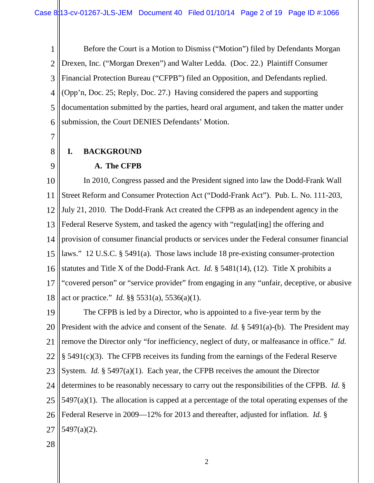1 2 3 4 5 6 Before the Court is a Motion to Dismiss ("Motion") filed by Defendants Morgan Drexen, Inc. ("Morgan Drexen") and Walter Ledda. (Doc. 22.) Plaintiff Consumer Financial Protection Bureau ("CFPB") filed an Opposition, and Defendants replied. (Opp'n, Doc. 25; Reply, Doc. 27.) Having considered the papers and supporting documentation submitted by the parties, heard oral argument, and taken the matter under submission, the Court DENIES Defendants' Motion.

7

8

# **I. BACKGROUND**

9

## **A. The CFPB**

10 11 12 13 14 15 16 17 18 In 2010, Congress passed and the President signed into law the Dodd-Frank Wall Street Reform and Consumer Protection Act ("Dodd-Frank Act"). Pub. L. No. 111-203, July 21, 2010. The Dodd-Frank Act created the CFPB as an independent agency in the Federal Reserve System, and tasked the agency with "regulat [ing] the offering and provision of consumer financial products or services under the Federal consumer financial laws." 12 U.S.C. § 5491(a). Those laws include 18 pre-existing consumer-protection statutes and Title X of the Dodd-Frank Act. *Id.* § 5481(14), (12). Title X prohibits a "covered person" or "service provider" from engaging in any "unfair, deceptive, or abusive act or practice." *Id.* §§ 5531(a), 5536(a)(1).

19 20 21 22 23 24 25 26 27 The CFPB is led by a Director, who is appointed to a five-year term by the President with the advice and consent of the Senate. *Id.* § 5491(a)-(b). The President may remove the Director only "for inefficiency, neglect of duty, or malfeasance in office." *Id.* § 5491(c)(3). The CFPB receives its funding from the earnings of the Federal Reserve System. *Id.* § 5497(a)(1). Each year, the CFPB receives the amount the Director determines to be reasonably necessary to carry out the responsibilities of the CFPB. *Id.* §  $5497(a)(1)$ . The allocation is capped at a percentage of the total operating expenses of the Federal Reserve in 2009—12% for 2013 and thereafter, adjusted for inflation. *Id.* § 5497(a)(2).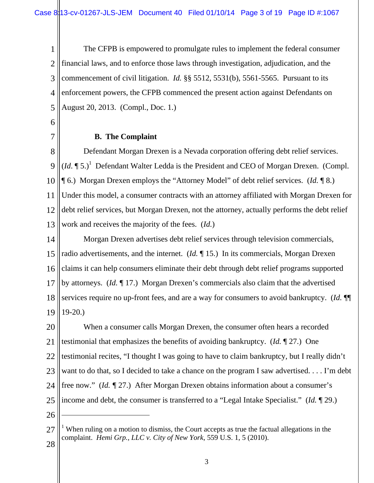1 2 3 4 5 The CFPB is empowered to promulgate rules to implement the federal consumer financial laws, and to enforce those laws through investigation, adjudication, and the commencement of civil litigation. *Id.* §§ 5512, 5531(b), 5561-5565. Pursuant to its enforcement powers, the CFPB commenced the present action against Defendants on August 20, 2013. (Compl., Doc. 1.)

6

7

# **B. The Complaint**

8 9 10 11 12 13 Defendant Morgan Drexen is a Nevada corporation offering debt relief services.  $(Id. \P 5.)^1$  Defendant Walter Ledda is the President and CEO of Morgan Drexen. (Compl. ¶ 6.) Morgan Drexen employs the "Attorney Model" of debt relief services. (*Id.* ¶ 8.) Under this model, a consumer contracts with an attorney affiliated with Morgan Drexen for debt relief services, but Morgan Drexen, not the attorney, actually performs the debt relief work and receives the majority of the fees. (*Id.*)

14 15 16 17 18 19 Morgan Drexen advertises debt relief services through television commercials, radio advertisements, and the internet. (*Id.* ¶ 15.) In its commercials, Morgan Drexen claims it can help consumers eliminate their debt through debt relief programs supported by attorneys. (*Id.* ¶ 17.) Morgan Drexen's commercials also claim that the advertised services require no up-front fees, and are a way for consumers to avoid bankruptcy. (*Id.* ¶¶ 19-20.)

20 21 22 23 24 25 When a consumer calls Morgan Drexen, the consumer often hears a recorded testimonial that emphasizes the benefits of avoiding bankruptcy. (*Id.* ¶ 27.) One testimonial recites, "I thought I was going to have to claim bankruptcy, but I really didn't want to do that, so I decided to take a chance on the program I saw advertised. . . . I'm debt free now." (*Id. ¶* 27.) After Morgan Drexen obtains information about a consumer's income and debt, the consumer is transferred to a "Legal Intake Specialist." (*Id.* ¶ 29.)

26

 $\overline{a}$ 

<sup>27</sup> <sup>1</sup> When ruling on a motion to dismiss, the Court accepts as true the factual allegations in the complaint. *Hemi Grp., LLC v. City of New York*, 559 U.S. 1, 5 (2010).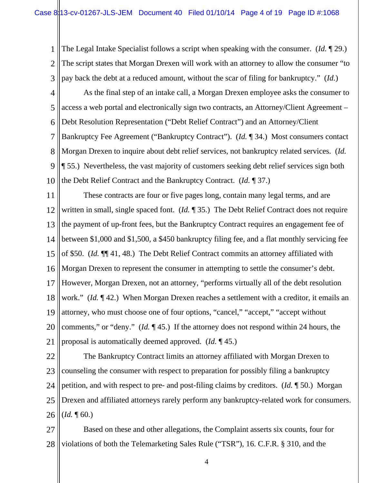1 2 3 The Legal Intake Specialist follows a script when speaking with the consumer. (*Id.* ¶ 29.) The script states that Morgan Drexen will work with an attorney to allow the consumer "to pay back the debt at a reduced amount, without the scar of filing for bankruptcy." (*Id.*)

4 5 6 7 8 9 10 As the final step of an intake call, a Morgan Drexen employee asks the consumer to access a web portal and electronically sign two contracts, an Attorney/Client Agreement – Debt Resolution Representation ("Debt Relief Contract") and an Attorney/Client Bankruptcy Fee Agreement ("Bankruptcy Contract"). (*Id.* ¶ 34.) Most consumers contact Morgan Drexen to inquire about debt relief services, not bankruptcy related services. (*Id.* ¶ 55.) Nevertheless, the vast majority of customers seeking debt relief services sign both the Debt Relief Contract and the Bankruptcy Contract. (*Id.* ¶ 37.)

11 12 13 14 15 16 17 18 19 20 21 These contracts are four or five pages long, contain many legal terms, and are written in small, single spaced font. (*Id.* ¶ 35.) The Debt Relief Contract does not require the payment of up-front fees, but the Bankruptcy Contract requires an engagement fee of between \$1,000 and \$1,500, a \$450 bankruptcy filing fee, and a flat monthly servicing fee of \$50. (*Id.* ¶¶ 41, 48.) The Debt Relief Contract commits an attorney affiliated with Morgan Drexen to represent the consumer in attempting to settle the consumer's debt. However, Morgan Drexen, not an attorney, "performs virtually all of the debt resolution work." *(Id.* 142.) When Morgan Drexen reaches a settlement with a creditor, it emails an attorney, who must choose one of four options, "cancel," "accept," "accept without comments," or "deny." (*Id.* ¶ 45.) If the attorney does not respond within 24 hours, the proposal is automatically deemed approved. (*Id.* ¶ 45.)

22 23 24 25 26 The Bankruptcy Contract limits an attorney affiliated with Morgan Drexen to counseling the consumer with respect to preparation for possibly filing a bankruptcy petition, and with respect to pre- and post-filing claims by creditors. (*Id.* ¶ 50.) Morgan Drexen and affiliated attorneys rarely perform any bankruptcy-related work for consumers.  $$ 

27 28 Based on these and other allegations, the Complaint asserts six counts, four for violations of both the Telemarketing Sales Rule ("TSR"), 16. C.F.R. § 310, and the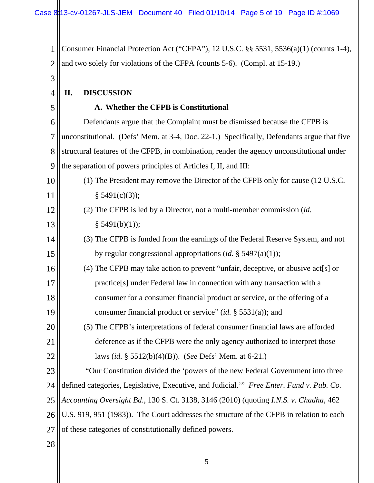1 2 3 4 5 6 7 8 9 10 11 12 13 14 15 16 17 18 19 20 21 22 23 24 25 26 27 Consumer Financial Protection Act ("CFPA"), 12 U.S.C. §§ 5531, 5536(a)(1) (counts 1-4), and two solely for violations of the CFPA (counts 5-6). (Compl. at 15-19.) **II. DISCUSSION A. Whether the CFPB is Constitutional**  Defendants argue that the Complaint must be dismissed because the CFPB is unconstitutional. (Defs' Mem. at 3-4, Doc. 22-1.) Specifically, Defendants argue that five structural features of the CFPB, in combination, render the agency unconstitutional under the separation of powers principles of Articles I, II, and III: (1) The President may remove the Director of the CFPB only for cause (12 U.S.C.  $§ 5491(c)(3);$ (2) The CFPB is led by a Director, not a multi-member commission (*id.*  $§ 5491(b)(1));$ (3) The CFPB is funded from the earnings of the Federal Reserve System, and not by regular congressional appropriations (*id.* § 5497(a)(1)); (4) The CFPB may take action to prevent "unfair, deceptive, or abusive act[s] or practice[s] under Federal law in connection with any transaction with a consumer for a consumer financial product or service, or the offering of a consumer financial product or service" (*id.* § 5531(a)); and (5) The CFPB's interpretations of federal consumer financial laws are afforded deference as if the CFPB were the only agency authorized to interpret those laws (*id.* § 5512(b)(4)(B)). (*See* Defs' Mem. at 6-21.) "Our Constitution divided the 'powers of the new Federal Government into three defined categories, Legislative, Executive, and Judicial.'" *Free Enter. Fund v. Pub. Co. Accounting Oversight Bd*., 130 S. Ct. 3138, 3146 (2010) (quoting *I.N.S. v. Chadha*, 462 U.S. 919, 951 (1983)). The Court addresses the structure of the CFPB in relation to each of these categories of constitutionally defined powers.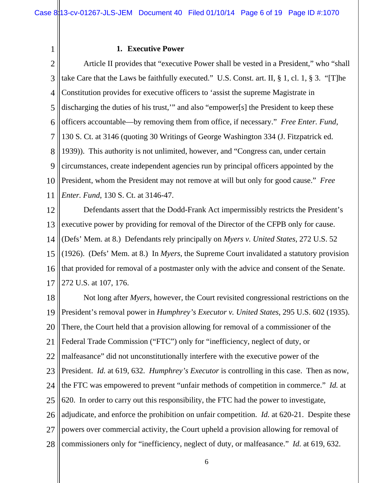1

#### **1. Executive Power**

2 3 4 5 6 7 8 9 10 11 Article II provides that "executive Power shall be vested in a President," who "shall take Care that the Laws be faithfully executed." U.S. Const. art. II, § 1, cl. 1, § 3. "[T]he Constitution provides for executive officers to 'assist the supreme Magistrate in discharging the duties of his trust,'" and also "empower[s] the President to keep these officers accountable—by removing them from office, if necessary." *Free Enter. Fund*, 130 S. Ct. at 3146 (quoting 30 Writings of George Washington 334 (J. Fitzpatrick ed. 1939)). This authority is not unlimited, however, and "Congress can, under certain circumstances, create independent agencies run by principal officers appointed by the President, whom the President may not remove at will but only for good cause." *Free Enter. Fund*, 130 S. Ct. at 3146-47.

12 13 14 15 16 17 Defendants assert that the Dodd-Frank Act impermissibly restricts the President's executive power by providing for removal of the Director of the CFPB only for cause. (Defs' Mem. at 8.) Defendants rely principally on *Myers v. United States*, 272 U.S. 52 (1926). (Defs' Mem. at 8.) In *Myers*, the Supreme Court invalidated a statutory provision that provided for removal of a postmaster only with the advice and consent of the Senate. 272 U.S. at 107, 176.

18 19 20 21 22 23 24 25 26 27 28 Not long after *Myers*, however, the Court revisited congressional restrictions on the President's removal power in *Humphrey's Executor v. United States*, 295 U.S. 602 (1935). There, the Court held that a provision allowing for removal of a commissioner of the Federal Trade Commission ("FTC") only for "inefficiency, neglect of duty, or malfeasance" did not unconstitutionally interfere with the executive power of the President. *Id.* at 619, 632. *Humphrey's Executor* is controlling in this case. Then as now, the FTC was empowered to prevent "unfair methods of competition in commerce." *Id.* at 620. In order to carry out this responsibility, the FTC had the power to investigate, adjudicate, and enforce the prohibition on unfair competition. *Id.* at 620-21. Despite these powers over commercial activity, the Court upheld a provision allowing for removal of commissioners only for "inefficiency, neglect of duty, or malfeasance." *Id.* at 619, 632.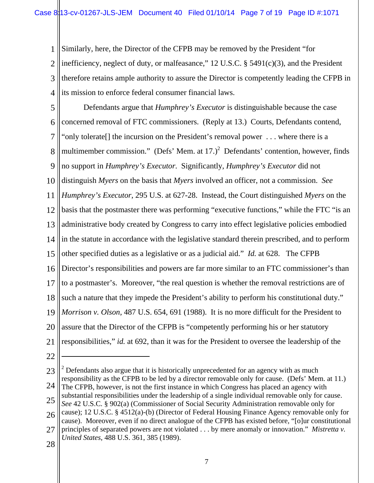1 2 3 4 Similarly, here, the Director of the CFPB may be removed by the President "for inefficiency, neglect of duty, or malfeasance," 12 U.S.C. § 5491(c)(3), and the President therefore retains ample authority to assure the Director is competently leading the CFPB in its mission to enforce federal consumer financial laws.

5 6 7 8 9 10 11 12 13 14 15 16 17 18 19 20 21 Defendants argue that *Humphrey's Executor* is distinguishable because the case concerned removal of FTC commissioners. (Reply at 13.) Courts, Defendants contend, "only tolerate[] the incursion on the President's removal power . . . where there is a multimember commission." (Defs' Mem. at  $17.$ )<sup>2</sup> Defendants' contention, however, finds no support in *Humphrey's Executor*. Significantly, *Humphrey's Executor* did not distinguish *Myers* on the basis that *Myers* involved an officer, not a commission. *See Humphrey's Executor*, 295 U.S. at 627-28. Instead, the Court distinguished *Myers* on the basis that the postmaster there was performing "executive functions," while the FTC "is an administrative body created by Congress to carry into effect legislative policies embodied in the statute in accordance with the legislative standard therein prescribed, and to perform other specified duties as a legislative or as a judicial aid." *Id.* at 628. The CFPB Director's responsibilities and powers are far more similar to an FTC commissioner's than to a postmaster's. Moreover, "the real question is whether the removal restrictions are of such a nature that they impede the President's ability to perform his constitutional duty." *Morrison v. Olson*, 487 U.S. 654, 691 (1988). It is no more difficult for the President to assure that the Director of the CFPB is "competently performing his or her statutory responsibilities," *id.* at 692, than it was for the President to oversee the leadership of the

22

 $\overline{a}$ 

<sup>23</sup> 24  $2$  Defendants also argue that it is historically unprecedented for an agency with as much responsibility as the CFPB to be led by a director removable only for cause. (Defs' Mem. at 11.) The CFPB, however, is not the first instance in which Congress has placed an agency with substantial responsibilities under the leadership of a single individual removable only for cause.

<sup>25</sup> *See* 42 U.S.C. § 902(a) (Commissioner of Social Security Administration removable only for

<sup>26</sup> cause); 12 U.S.C. § 4512(a)-(b) (Director of Federal Housing Finance Agency removable only for cause). Moreover, even if no direct analogue of the CFPB has existed before, "[o]ur constitutional

<sup>27</sup> principles of separated powers are not violated . . . by mere anomaly or innovation." *Mistretta v. United States*, 488 U.S. 361, 385 (1989).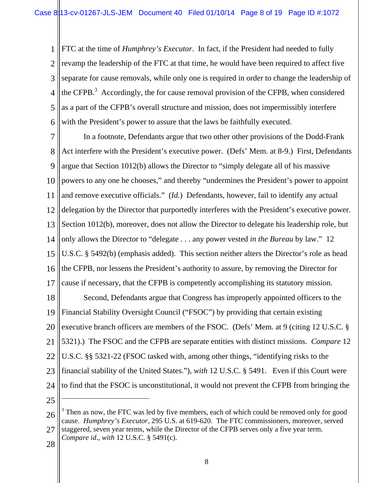1 2 3 4 5 6 FTC at the time of *Humphrey's Executor*. In fact, if the President had needed to fully revamp the leadership of the FTC at that time, he would have been required to affect five separate for cause removals, while only one is required in order to change the leadership of the CFPB. $3$  Accordingly, the for cause removal provision of the CFPB, when considered as a part of the CFPB's overall structure and mission, does not impermissibly interfere with the President's power to assure that the laws be faithfully executed.

7 8 9 10 11 12 13 14 15 16 17 18 19 20 21 22 23 24 In a footnote, Defendants argue that two other other provisions of the Dodd-Frank Act interfere with the President's executive power. (Defs' Mem. at 8-9.) First, Defendants argue that Section 1012(b) allows the Director to "simply delegate all of his massive powers to any one he chooses," and thereby "undermines the President's power to appoint and remove executive officials." (*Id.*) Defendants, however, fail to identify any actual delegation by the Director that purportedly interferes with the President's executive power. Section 1012(b), moreover, does not allow the Director to delegate his leadership role, but only allows the Director to "delegate . . . any power vested *in the Bureau* by law." 12 U.S.C. § 5492(b) (emphasis added). This section neither alters the Director's role as head the CFPB, nor lessens the President's authority to assure, by removing the Director for cause if necessary, that the CFPB is competently accomplishing its statutory mission. Second, Defendants argue that Congress has improperly appointed officers to the Financial Stability Oversight Council ("FSOC") by providing that certain existing executive branch officers are members of the FSOC. (Defs' Mem. at 9 (citing 12 U.S.C. § 5321).) The FSOC and the CFPB are separate entities with distinct missions. *Compare* 12 U.S.C. §§ 5321-22 (FSOC tasked with, among other things, "identifying risks to the financial stability of the United States."), *with* 12 U.S.C. § 5491. Even if this Court were to find that the FSOC is unconstitutional, it would not prevent the CFPB from bringing the  $\overline{a}$ 

25

<sup>26</sup> 27  $3$  Then as now, the FTC was led by five members, each of which could be removed only for good cause. *Humphrey's Executor,* 295 U.S. at 619-620. The FTC commissioners, moreover, served staggered, seven year terms, while the Director of the CFPB serves only a five year term.

*Compare id*., *with* 12 U.S.C. § 5491(c).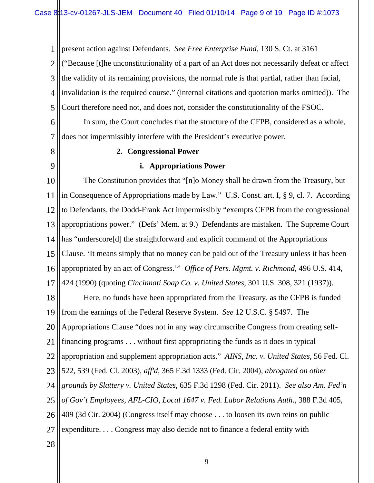1 2 3 4 5 present action against Defendants. *See Free Enterprise Fund*, 130 S. Ct. at 3161 ("Because [t]he unconstitutionality of a part of an Act does not necessarily defeat or affect the validity of its remaining provisions, the normal rule is that partial, rather than facial, invalidation is the required course." (internal citations and quotation marks omitted)). The Court therefore need not, and does not, consider the constitutionality of the FSOC.

6 7 In sum, the Court concludes that the structure of the CFPB, considered as a whole, does not impermissibly interfere with the President's executive power.

8

9

### **2. Congressional Power**

#### **i. Appropriations Power**

10 11 12 13 14 15 16 17 The Constitution provides that "[n]o Money shall be drawn from the Treasury, but in Consequence of Appropriations made by Law." U.S. Const. art. I, § 9, cl. 7. According to Defendants, the Dodd-Frank Act impermissibly "exempts CFPB from the congressional appropriations power." (Defs' Mem. at 9.) Defendants are mistaken. The Supreme Court has "underscore<sup>[d]</sup> the straightforward and explicit command of the Appropriations Clause. 'It means simply that no money can be paid out of the Treasury unless it has been appropriated by an act of Congress.'" *Office of Pers. Mgmt. v. Richmond*, 496 U.S. 414, 424 (1990) (quoting *Cincinnati Soap Co. v. United States*, 301 U.S. 308, 321 (1937)).

18 19 20 21 22 23 24 25 26 27 Here, no funds have been appropriated from the Treasury, as the CFPB is funded from the earnings of the Federal Reserve System. *See* 12 U.S.C. § 5497. The Appropriations Clause "does not in any way circumscribe Congress from creating selffinancing programs . . . without first appropriating the funds as it does in typical appropriation and supplement appropriation acts." *AINS, Inc. v. United States*, 56 Fed. Cl. 522, 539 (Fed. Cl. 2003), *aff'd*, 365 F.3d 1333 (Fed. Cir. 2004), *abrogated on other grounds by Slattery v. United States*, 635 F.3d 1298 (Fed. Cir. 2011). *See also Am. Fed'n of Gov't Employees, AFL-CIO, Local 1647 v. Fed. Labor Relations Auth*., 388 F.3d 405, 409 (3d Cir. 2004) (Congress itself may choose . . . to loosen its own reins on public expenditure. . . . Congress may also decide not to finance a federal entity with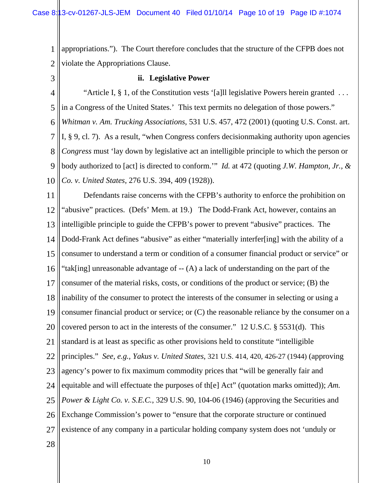1 2 appropriations."). The Court therefore concludes that the structure of the CFPB does not violate the Appropriations Clause.

3

## **ii. Legislative Power**

4 5 6 7 8 9 10 "Article I, § 1, of the Constitution vests '[a]ll legislative Powers herein granted . . . in a Congress of the United States.' This text permits no delegation of those powers." *Whitman v. Am. Trucking Associations*, 531 U.S. 457, 472 (2001) (quoting U.S. Const. art. I, § 9, cl. 7). As a result, "when Congress confers decisionmaking authority upon agencies *Congress* must 'lay down by legislative act an intelligible principle to which the person or body authorized to [act] is directed to conform.'" *Id.* at 472 (quoting *J.W. Hampton, Jr., & Co. v. United States*, 276 U.S. 394, 409 (1928)).

11 12 13 14 15 16 17 18 19 20 21 22 23 24 25 26 27 28 Defendants raise concerns with the CFPB's authority to enforce the prohibition on "abusive" practices. (Defs' Mem. at 19.) The Dodd-Frank Act, however, contains an intelligible principle to guide the CFPB's power to prevent "abusive" practices. The Dodd-Frank Act defines "abusive" as either "materially interfer[ing] with the ability of a consumer to understand a term or condition of a consumer financial product or service" or "tak[ing] unreasonable advantage of -- (A) a lack of understanding on the part of the consumer of the material risks, costs, or conditions of the product or service; (B) the inability of the consumer to protect the interests of the consumer in selecting or using a consumer financial product or service; or (C) the reasonable reliance by the consumer on a covered person to act in the interests of the consumer." 12 U.S.C. § 5531(d). This standard is at least as specific as other provisions held to constitute "intelligible principles." *See, e.g., Yakus v. United States*, 321 U.S. 414, 420, 426-27 (1944) (approving agency's power to fix maximum commodity prices that "will be generally fair and equitable and will effectuate the purposes of th[e] Act" (quotation marks omitted)); *Am. Power & Light Co. v. S.E.C.*, 329 U.S. 90, 104-06 (1946) (approving the Securities and Exchange Commission's power to "ensure that the corporate structure or continued existence of any company in a particular holding company system does not 'unduly or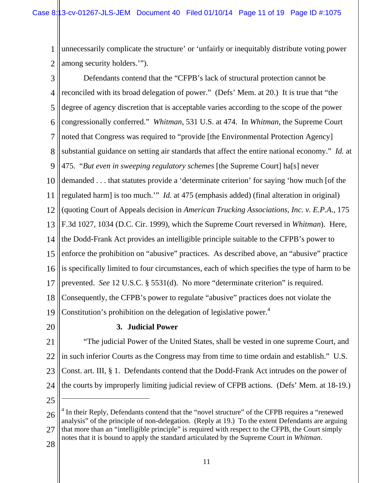1 2 unnecessarily complicate the structure' or 'unfairly or inequitably distribute voting power among security holders.'").

3 4 5 6 7 8 9 10 11 12 13 14 15 16 17 18 19 Defendants contend that the "CFPB's lack of structural protection cannot be reconciled with its broad delegation of power." (Defs' Mem. at 20.) It is true that "the degree of agency discretion that is acceptable varies according to the scope of the power congressionally conferred." *Whitman*, 531 U.S. at 474. In *Whitman*, the Supreme Court noted that Congress was required to "provide [the Environmental Protection Agency] substantial guidance on setting air standards that affect the entire national economy." *Id.* at 475. "*But even in sweeping regulatory schemes* [the Supreme Court] ha[s] never demanded . . . that statutes provide a 'determinate criterion' for saying 'how much [of the regulated harm] is too much.'" *Id.* at 475 (emphasis added) (final alteration in original) (quoting Court of Appeals decision in *American Trucking Associations, Inc. v. E.P.A.*, 175 F.3d 1027, 1034 (D.C. Cir. 1999), which the Supreme Court reversed in *Whitman*). Here, the Dodd-Frank Act provides an intelligible principle suitable to the CFPB's power to enforce the prohibition on "abusive" practices. As described above, an "abusive" practice is specifically limited to four circumstances, each of which specifies the type of harm to be prevented. *See* 12 U.S.C. § 5531(d). No more "determinate criterion" is required. Consequently, the CFPB's power to regulate "abusive" practices does not violate the Constitution's prohibition on the delegation of legislative power.<sup>4</sup>

20

## **3. Judicial Power**

21 22 23 24 "The judicial Power of the United States, shall be vested in one supreme Court, and in such inferior Courts as the Congress may from time to time ordain and establish." U.S. Const. art. III, § 1. Defendants contend that the Dodd-Frank Act intrudes on the power of the courts by improperly limiting judicial review of CFPB actions. (Defs' Mem. at 18-19.)

25

 $\overline{a}$ 

<sup>26</sup> 27 <sup>4</sup> In their Reply, Defendants contend that the "novel structure" of the CFPB requires a "renewed analysis" of the principle of non-delegation. (Reply at 19.) To the extent Defendants are arguing that more than an "intelligible principle" is required with respect to the CFPB, the Court simply notes that it is bound to apply the standard articulated by the Supreme Court in *Whitman*.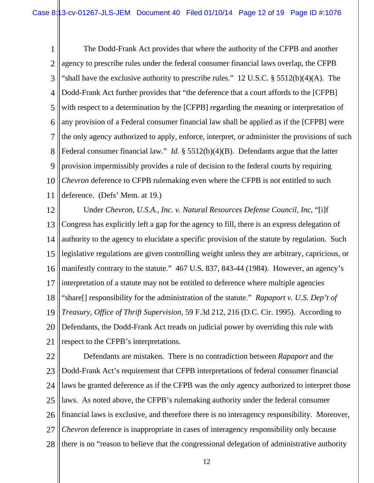1 2 3 4 5 6 7 8 9 10 11 The Dodd-Frank Act provides that where the authority of the CFPB and another agency to prescribe rules under the federal consumer financial laws overlap, the CFPB "shall have the exclusive authority to prescribe rules." 12 U.S.C. § 5512(b)(4)(A). The Dodd-Frank Act further provides that "the deference that a court affords to the [CFPB] with respect to a determination by the [CFPB] regarding the meaning or interpretation of any provision of a Federal consumer financial law shall be applied as if the [CFPB] were the only agency authorized to apply, enforce, interpret, or administer the provisions of such Federal consumer financial law." *Id.* § 5512(b)(4)(B). Defendants argue that the latter provision impermissibly provides a rule of decision to the federal courts by requiring *Chevron* deference to CFPB rulemaking even where the CFPB is not entitled to such deference. (Defs' Mem. at 19.)

12 13 14 15 16 17 18 19 20 21 Under *Chevron, U.S.A., Inc. v. Natural Resources Defense Council, Inc*, "[i]f Congress has explicitly left a gap for the agency to fill, there is an express delegation of authority to the agency to elucidate a specific provision of the statute by regulation. Such legislative regulations are given controlling weight unless they are arbitrary, capricious, or manifestly contrary to the statute." 467 U.S. 837, 843-44 (1984). However, an agency's interpretation of a statute may not be entitled to deference where multiple agencies "share[] responsibility for the administration of the statute." *Rapaport v. U.S. Dep't of Treasury, Office of Thrift Supervision*, 59 F.3d 212, 216 (D.C. Cir. 1995). According to Defendants, the Dodd-Frank Act treads on judicial power by overriding this rule with respect to the CFPB's interpretations.

22 23 24 25 26 27 28 Defendants are mistaken. There is no contradiction between *Rapaport* and the Dodd-Frank Act's requirement that CFPB interpretations of federal consumer financial laws be granted deference as if the CFPB was the only agency authorized to interpret those laws. As noted above, the CFPB's rulemaking authority under the federal consumer financial laws is exclusive, and therefore there is no interagency responsibility. Moreover, *Chevron* deference is inappropriate in cases of interagency responsibility only because there is no "reason to believe that the congressional delegation of administrative authority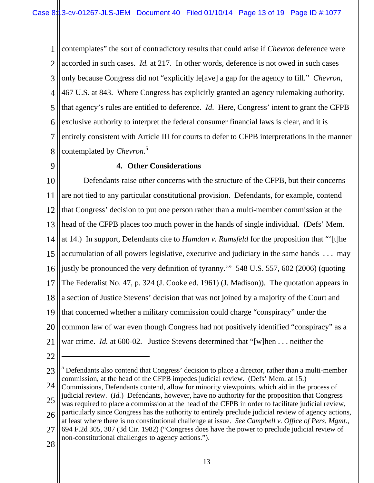1 2 3 4 5 6 7 8 contemplates" the sort of contradictory results that could arise if *Chevron* deference were accorded in such cases. *Id.* at 217. In other words, deference is not owed in such cases only because Congress did not "explicitly le[ave] a gap for the agency to fill." *Chevron*, 467 U.S. at 843. Where Congress has explicitly granted an agency rulemaking authority, that agency's rules are entitled to deference. *Id*. Here, Congress' intent to grant the CFPB exclusive authority to interpret the federal consumer financial laws is clear, and it is entirely consistent with Article III for courts to defer to CFPB interpretations in the manner contemplated by *Chevron*. 5

9

# **4. Other Considerations**

10 11 12 13 14 15 16 17 18 19 20 21 Defendants raise other concerns with the structure of the CFPB, but their concerns are not tied to any particular constitutional provision. Defendants, for example, contend that Congress' decision to put one person rather than a multi-member commission at the head of the CFPB places too much power in the hands of single individual. (Defs' Mem. at 14.) In support, Defendants cite to *Hamdan v. Rumsfeld* for the proposition that "'[t]he accumulation of all powers legislative, executive and judiciary in the same hands . . . may justly be pronounced the very definition of tyranny.'" 548 U.S. 557, 602 (2006) (quoting The Federalist No. 47, p. 324 (J. Cooke ed. 1961) (J. Madison)). The quotation appears in a section of Justice Stevens' decision that was not joined by a majority of the Court and that concerned whether a military commission could charge "conspiracy" under the common law of war even though Congress had not positively identified "conspiracy" as a war crime. *Id.* at 600-02. Justice Stevens determined that "[w]hen . . . neither the

22

 $\overline{a}$ 

<sup>23</sup> <sup>5</sup> Defendants also contend that Congress' decision to place a director, rather than a multi-member commission, at the head of the CFPB impedes judicial review. (Defs' Mem. at 15.)

<sup>24</sup> 25 Commissions, Defendants contend, allow for minority viewpoints, which aid in the process of judicial review. (*Id.*) Defendants, however, have no authority for the proposition that Congress

<sup>26</sup> was required to place a commission at the head of the CFPB in order to facilitate judicial review, particularly since Congress has the authority to entirely preclude judicial review of agency actions,

at least where there is no constitutional challenge at issue. *See Campbell v. Office of Pers. Mgmt*.,

<sup>27</sup> 694 F.2d 305, 307 (3d Cir. 1982) ("Congress does have the power to preclude judicial review of non-constitutional challenges to agency actions.").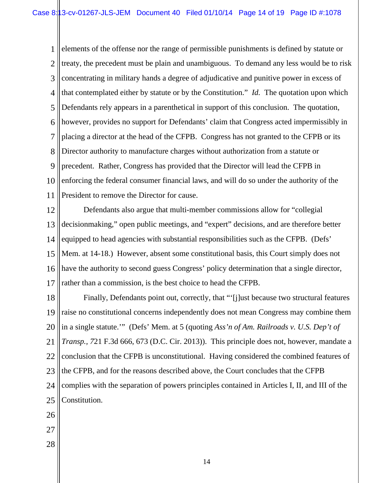1 2 3 4 5 6 7 8 9 10 11 elements of the offense nor the range of permissible punishments is defined by statute or treaty, the precedent must be plain and unambiguous. To demand any less would be to risk concentrating in military hands a degree of adjudicative and punitive power in excess of that contemplated either by statute or by the Constitution." *Id.* The quotation upon which Defendants rely appears in a parenthetical in support of this conclusion. The quotation, however, provides no support for Defendants' claim that Congress acted impermissibly in placing a director at the head of the CFPB. Congress has not granted to the CFPB or its Director authority to manufacture charges without authorization from a statute or precedent. Rather, Congress has provided that the Director will lead the CFPB in enforcing the federal consumer financial laws, and will do so under the authority of the President to remove the Director for cause.

12 13 14 15 16 17 Defendants also argue that multi-member commissions allow for "collegial decisionmaking," open public meetings, and "expert" decisions, and are therefore better equipped to head agencies with substantial responsibilities such as the CFPB. (Defs' Mem. at 14-18.) However, absent some constitutional basis, this Court simply does not have the authority to second guess Congress' policy determination that a single director, rather than a commission, is the best choice to head the CFPB.

18 19 20 21 22 23 24 25 26 27 Finally, Defendants point out, correctly, that "'[j]ust because two structural features raise no constitutional concerns independently does not mean Congress may combine them in a single statute.'" (Defs' Mem. at 5 (quoting *Ass'n of Am. Railroads v. U.S. Dep't of Transp., 7*21 F.3d 666, 673 (D.C. Cir. 2013)). This principle does not, however, mandate a conclusion that the CFPB is unconstitutional. Having considered the combined features of the CFPB, and for the reasons described above, the Court concludes that the CFPB complies with the separation of powers principles contained in Articles I, II, and III of the Constitution.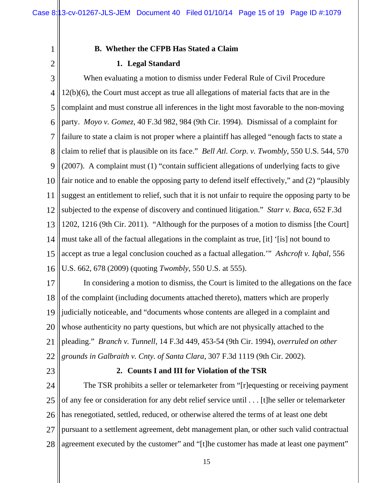## **B. Whether the CFPB Has Stated a Claim**

### **1. Legal Standard**

3 4 5 6 7 8 9 10 11 12 13 14 15 16 When evaluating a motion to dismiss under Federal Rule of Civil Procedure 12(b)(6), the Court must accept as true all allegations of material facts that are in the complaint and must construe all inferences in the light most favorable to the non-moving party. *Moyo v. Gomez*, 40 F.3d 982, 984 (9th Cir. 1994). Dismissal of a complaint for failure to state a claim is not proper where a plaintiff has alleged "enough facts to state a claim to relief that is plausible on its face." *Bell Atl. Corp. v. Twombly*, 550 U.S. 544, 570 (2007). A complaint must (1) "contain sufficient allegations of underlying facts to give fair notice and to enable the opposing party to defend itself effectively," and (2) "plausibly suggest an entitlement to relief, such that it is not unfair to require the opposing party to be subjected to the expense of discovery and continued litigation." *Starr v. Baca*, 652 F.3d 1202, 1216 (9th Cir. 2011). "Although for the purposes of a motion to dismiss [the Court] must take all of the factual allegations in the complaint as true, [it] '[is] not bound to accept as true a legal conclusion couched as a factual allegation.'" *Ashcroft v. Iqbal*, 556 U.S. 662, 678 (2009) (quoting *Twombly*, 550 U.S. at 555).

17 18 19 20 21 22 In considering a motion to dismiss, the Court is limited to the allegations on the face of the complaint (including documents attached thereto), matters which are properly judicially noticeable, and "documents whose contents are alleged in a complaint and whose authenticity no party questions, but which are not physically attached to the pleading." *Branch v. Tunnell*, 14 F.3d 449, 453-54 (9th Cir. 1994), *overruled on other grounds in Galbraith v. Cnty. of Santa Clara*, 307 F.3d 1119 (9th Cir. 2002).

23

1

2

### **2. Counts I and III for Violation of the TSR**

24 25 26 27 28 The TSR prohibits a seller or telemarketer from "[r]equesting or receiving payment of any fee or consideration for any debt relief service until . . . [t]he seller or telemarketer has renegotiated, settled, reduced, or otherwise altered the terms of at least one debt pursuant to a settlement agreement, debt management plan, or other such valid contractual agreement executed by the customer" and "[t]he customer has made at least one payment"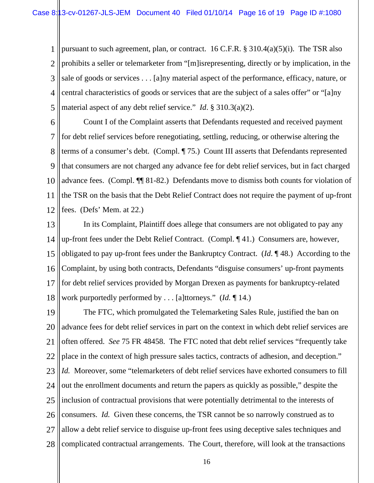1 2 3 4 5 pursuant to such agreement, plan, or contract. 16 C.F.R. § 310.4(a)(5)(i). The TSR also prohibits a seller or telemarketer from "[m]isrepresenting, directly or by implication, in the sale of goods or services . . . [a]ny material aspect of the performance, efficacy, nature, or central characteristics of goods or services that are the subject of a sales offer" or "[a]ny material aspect of any debt relief service." *Id*. § 310.3(a)(2).

6 7 8 9 10 11 12 Count I of the Complaint asserts that Defendants requested and received payment for debt relief services before renegotiating, settling, reducing, or otherwise altering the terms of a consumer's debt. (Compl. ¶ 75.) Count III asserts that Defendants represented that consumers are not charged any advance fee for debt relief services, but in fact charged advance fees. (Compl. ¶¶ 81-82.) Defendants move to dismiss both counts for violation of the TSR on the basis that the Debt Relief Contract does not require the payment of up-front fees. (Defs' Mem. at 22.)

13 14 15 16 17 18 In its Complaint, Plaintiff does allege that consumers are not obligated to pay any up-front fees under the Debt Relief Contract. (Compl. ¶ 41.) Consumers are, however, obligated to pay up-front fees under the Bankruptcy Contract. (*Id*. ¶ 48.) According to the Complaint, by using both contracts, Defendants "disguise consumers' up-front payments for debt relief services provided by Morgan Drexen as payments for bankruptcy-related work purportedly performed by . . . [a]ttorneys." (*Id.* ¶ 14.)

19 20 21 22 23 24 25 26 27 28 The FTC, which promulgated the Telemarketing Sales Rule, justified the ban on advance fees for debt relief services in part on the context in which debt relief services are often offered. *See* 75 FR 48458. The FTC noted that debt relief services "frequently take place in the context of high pressure sales tactics, contracts of adhesion, and deception." *Id.* Moreover, some "telemarketers of debt relief services have exhorted consumers to fill out the enrollment documents and return the papers as quickly as possible," despite the inclusion of contractual provisions that were potentially detrimental to the interests of consumers. *Id.* Given these concerns, the TSR cannot be so narrowly construed as to allow a debt relief service to disguise up-front fees using deceptive sales techniques and complicated contractual arrangements. The Court, therefore, will look at the transactions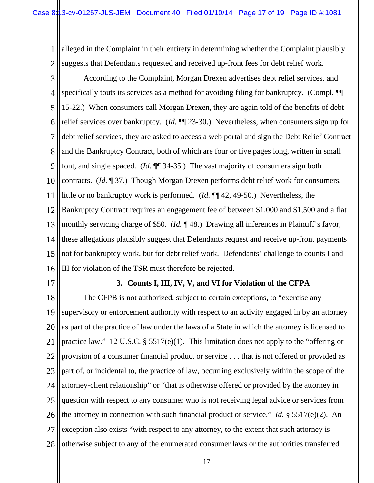1 2 alleged in the Complaint in their entirety in determining whether the Complaint plausibly suggests that Defendants requested and received up-front fees for debt relief work.

3 4 5 6 7 8 9 10 11 12 13 14 15 16 According to the Complaint, Morgan Drexen advertises debt relief services, and specifically touts its services as a method for avoiding filing for bankruptcy. (Compl.  $\P$ 15-22.) When consumers call Morgan Drexen, they are again told of the benefits of debt relief services over bankruptcy. (*Id.* ¶¶ 23-30.) Nevertheless, when consumers sign up for debt relief services, they are asked to access a web portal and sign the Debt Relief Contract and the Bankruptcy Contract, both of which are four or five pages long, written in small font, and single spaced. (*Id.* ¶¶ 34-35.) The vast majority of consumers sign both contracts. (*Id.* ¶ 37.) Though Morgan Drexen performs debt relief work for consumers, little or no bankruptcy work is performed. (*Id.* ¶¶ 42, 49-50.) Nevertheless, the Bankruptcy Contract requires an engagement fee of between \$1,000 and \$1,500 and a flat monthly servicing charge of \$50. (*Id.* ¶ 48.) Drawing all inferences in Plaintiff's favor, these allegations plausibly suggest that Defendants request and receive up-front payments not for bankruptcy work, but for debt relief work. Defendants' challenge to counts I and III for violation of the TSR must therefore be rejected.

17

## **3. Counts I, III, IV, V, and VI for Violation of the CFPA**

18 19 20 21 22 23 24 25 26 27 28 The CFPB is not authorized, subject to certain exceptions, to "exercise any supervisory or enforcement authority with respect to an activity engaged in by an attorney as part of the practice of law under the laws of a State in which the attorney is licensed to practice law." 12 U.S.C. § 5517(e)(1). This limitation does not apply to the "offering or provision of a consumer financial product or service . . . that is not offered or provided as part of, or incidental to, the practice of law, occurring exclusively within the scope of the attorney-client relationship" or "that is otherwise offered or provided by the attorney in question with respect to any consumer who is not receiving legal advice or services from the attorney in connection with such financial product or service." *Id.* § 5517(e)(2). An exception also exists "with respect to any attorney, to the extent that such attorney is otherwise subject to any of the enumerated consumer laws or the authorities transferred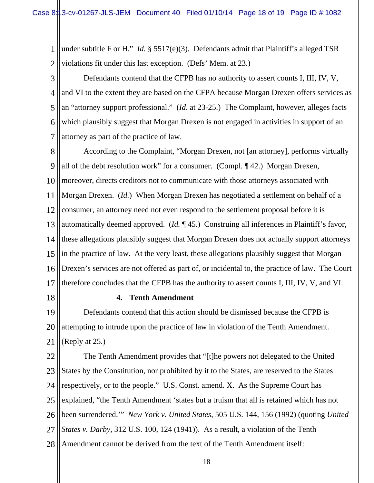1 2 under subtitle F or H." *Id.* § 5517(e)(3). Defendants admit that Plaintiff's alleged TSR violations fit under this last exception. (Defs' Mem. at 23.)

3

4 5 6 7 Defendants contend that the CFPB has no authority to assert counts I, III, IV, V, and VI to the extent they are based on the CFPA because Morgan Drexen offers services as an "attorney support professional." (*Id*. at 23-25.) The Complaint, however, alleges facts which plausibly suggest that Morgan Drexen is not engaged in activities in support of an attorney as part of the practice of law.

8 9 10 11 12 13 14 15 16 17 According to the Complaint, "Morgan Drexen, not [an attorney], performs virtually all of the debt resolution work" for a consumer. (Compl. ¶ 42.) Morgan Drexen, moreover, directs creditors not to communicate with those attorneys associated with Morgan Drexen. (*Id.*) When Morgan Drexen has negotiated a settlement on behalf of a consumer, an attorney need not even respond to the settlement proposal before it is automatically deemed approved. (*Id.* ¶ 45.) Construing all inferences in Plaintiff's favor, these allegations plausibly suggest that Morgan Drexen does not actually support attorneys in the practice of law. At the very least, these allegations plausibly suggest that Morgan Drexen's services are not offered as part of, or incidental to, the practice of law. The Court therefore concludes that the CFPB has the authority to assert counts I, III, IV, V, and VI.

18

### **4. Tenth Amendment**

19 20 21 Defendants contend that this action should be dismissed because the CFPB is attempting to intrude upon the practice of law in violation of the Tenth Amendment. (Reply at 25.)

22 23 24 25 26 27 28 The Tenth Amendment provides that "[t]he powers not delegated to the United States by the Constitution, nor prohibited by it to the States, are reserved to the States respectively, or to the people." U.S. Const. amend. X. As the Supreme Court has explained, "the Tenth Amendment 'states but a truism that all is retained which has not been surrendered.'" *New York v. United States*, 505 U.S. 144, 156 (1992) (quoting *United States v. Darby*, 312 U.S. 100, 124 (1941)). As a result, a violation of the Tenth Amendment cannot be derived from the text of the Tenth Amendment itself: